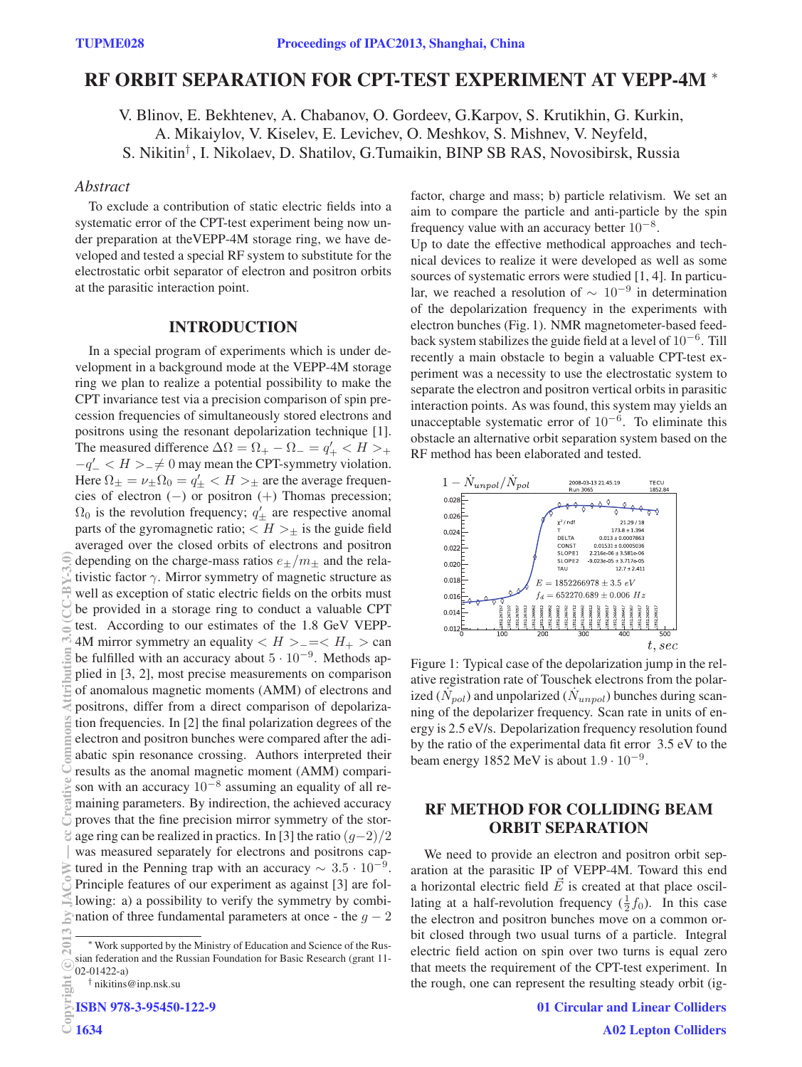# RF ORBIT SEPARATION FOR CPT-TEST EXPERIMENT AT VEPP-4M <sup>∗</sup>

V. Blinov, E. Bekhtenev, A. Chabanov, O. Gordeev, G.Karpov, S. Krutikhin, G. Kurkin, A. Mikaiylov, V. Kiselev, E. Levichev, O. Meshkov, S. Mishnev, V. Neyfeld, S. Nikitin† , I. Nikolaev, D. Shatilov, G.Tumaikin, BINP SB RAS, Novosibirsk, Russia

## *Abstract*

To exclude a contribution of static electric fields into a systematic error of the CPT-test experiment being now under preparation at theVEPP-4M storage ring, we have developed and tested a special RF system to substitute for the electrostatic orbit separator of electron and positron orbits at the parasitic interaction point.

## INTRODUCTION

In a special program of experiments which is under development in a background mode at the VEPP-4M storage ring we plan to realize a potential possibility to make the CPT invariance test via a precision comparison of spin precession frequencies of simultaneously stored electrons and positrons using the resonant depolarization technique [1]. The measured difference  $\Delta \Omega = \Omega_+ - \Omega_- = q'_+ < H>$  $-q' < H> = \neq 0$  may mean the CPT-symmetry violation. Here  $\Omega_{\pm} = \nu_{\pm} \Omega_0 = q'_{\pm} < H >_{\pm}$  are the average frequencies of electron (−) or positron (+) Thomas precession;  $\Omega_0$  is the revolution frequency;  $q'_{\pm}$  are respective anomal parts of the gyromagnetic ratio;  $\langle H \rangle$  is the guide field averaged over the closed orbits of electrons and positron depending on the charge-mass ratios  $e_{\pm}/m_{\pm}$  and the relativistic factor  $\gamma$ . Mirror symmetry of magnetic structure as well as exception of static electric fields on the orbits must be provided in a storage ring to conduct a valuable CPT test. According to our estimates of the 1.8 GeV VEPP-4M mirror symmetry an equality  $\langle H \rangle = \langle H_+ \rangle$  can be fulfilled with an accuracy about <sup>5</sup> · <sup>10</sup>−<sup>9</sup>. Methods applied in [3, 2], most precise measurements on comparison of anomalous magnetic moments (AMM) of electrons and positrons, differ from a direct comparison of depolarization frequencies. In [2] the final polarization degrees of the electron and positron bunches were compared after the adiabatic spin resonance crossing. Authors interpreted their results as the anomal magnetic moment (AMM) comparison with an accuracy  $10^{-8}$  assuming an equality of all remaining parameters. By indirection, the achieved accuracy proves that the fine precision mirror symmetry of the storage ring can be realized in practics. In [3] the ratio  $(g-2)/2$ was measured separately for electrons and positrons captured in the Penning trap with an accuracy  $\sim 3.5 \cdot 10^{-9}$ . Principle features of our experiment as against [3] are following: a) a possibility to verify the symmetry by combination of three fundamental parameters at once - the  $g - 2$ (0,6^)<br>2013 by JACoW — common straight Commons Attribution 3.0 (CC-BY-3.0)<br>2013 by JACOM → commons Attribution 3.0 (CC-BY-3.0)

† nikitins@inp.nsk.su

ISBN 978-3-95450-122-9

c○

B

factor, charge and mass; b) particle relativism. We set an aim to compare the particle and anti-particle by the spin frequency value with an accuracy better  $10^{-8}$ .

Up to date the effective methodical approaches and technical devices to realize it were developed as well as some sources of systematic errors were studied [1, 4]. In particular, we reached a resolution of  $\sim 10^{-9}$  in determination of the depolarization frequency in the experiments with electron bunches (Fig. 1). NMR magnetometer-based feedback system stabilizes the guide field at a level of  $10^{-6}$ . Till recently a main obstacle to begin a valuable CPT-test experiment was a necessity to use the electrostatic system to separate the electron and positron vertical orbits in parasitic interaction points. As was found, this system may yields an unacceptable systematic error of  $10^{-6}$ . To eliminate this obstacle an alternative orbit separation system based on the RF method has been elaborated and tested.



Figure 1: Typical case of the depolarization jump in the relative registration rate of Touschek electrons from the polarized  $(\dot{N}_{pol})$  and unpolarized  $(\dot{N}_{unpol})$  bunches during scanning of the depolarizer frequency. Scan rate in units of energy is 2.5 eV/s. Depolarization frequency resolution found by the ratio of the experimental data fit error 3.5 eV to the beam energy 1852 MeV is about  $1.9 \cdot 10^{-9}$ .

## RF METHOD FOR COLLIDING BEAM ORBIT SEPARATION

We need to provide an electron and positron orbit separation at the parasitic IP of VEPP-4M. Toward this end a horizontal electric field  $\vec{E}$  is created at that place oscillating at a half-revolution frequency  $(\frac{1}{2}f_0)$ . In this case the electron and positron bunches move on a common orbit closed through two usual turns of a particle. Integral electric field action on spin over two turns is equal zero that meets the requirement of the CPT-test experiment. In the rough, one can represent the resulting steady orbit (ig-

Work supported by the Ministry of Education and Science of the Russian federation and the Russian Foundation for Basic Research (grant 11- 02-01422-a)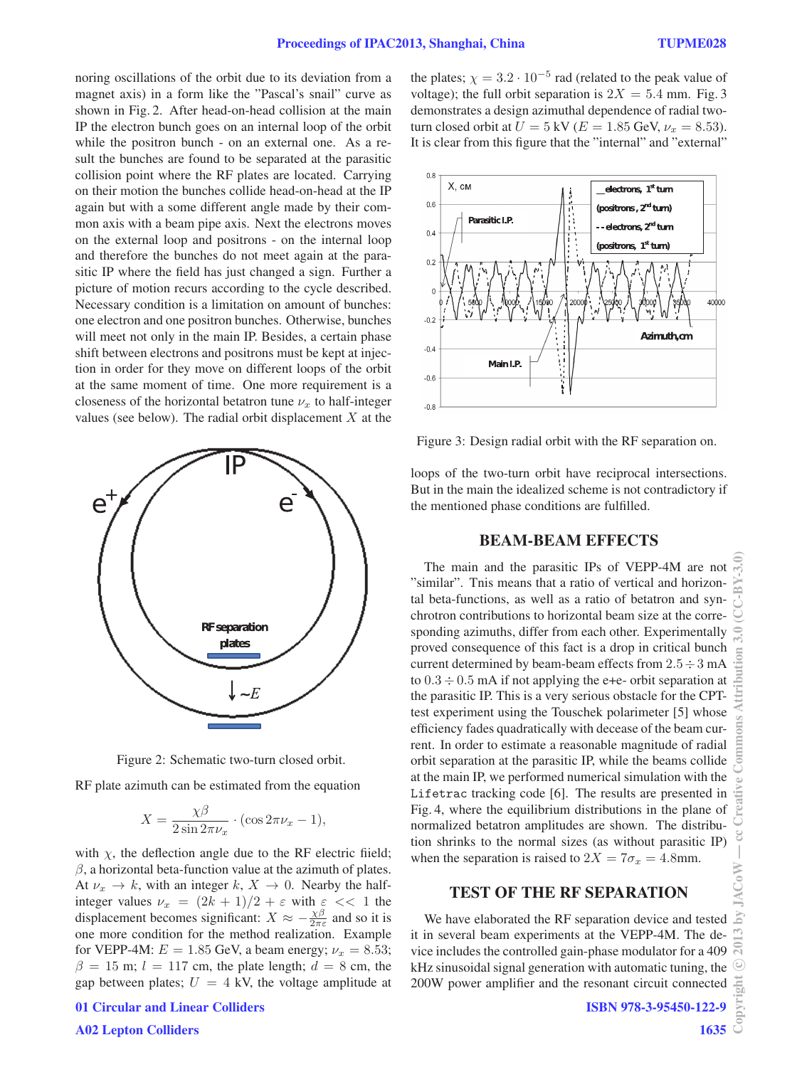noring oscillations of the orbit due to its deviation from a magnet axis) in a form like the "Pascal's snail" curve as shown in Fig. 2. After head-on-head collision at the main IP the electron bunch goes on an internal loop of the orbit while the positron bunch - on an external one. As a result the bunches are found to be separated at the parasitic collision point where the RF plates are located. Carrying on their motion the bunches collide head-on-head at the IP again but with a some different angle made by their common axis with a beam pipe axis. Next the electrons moves on the external loop and positrons - on the internal loop and therefore the bunches do not meet again at the parasitic IP where the field has just changed a sign. Further a picture of motion recurs according to the cycle described. Necessary condition is a limitation on amount of bunches: one electron and one positron bunches. Otherwise, bunches will meet not only in the main IP. Besides, a certain phase shift between electrons and positrons must be kept at injection in order for they move on different loops of the orbit at the same moment of time. One more requirement is a closeness of the horizontal betatron tune  $\nu_x$  to half-integer values (see below). The radial orbit displacement  $X$  at the



Figure 2: Schematic two-turn closed orbit.

RF plate azimuth can be estimated from the equation

$$
X = \frac{\chi\beta}{2\sin 2\pi\nu_x} \cdot (\cos 2\pi\nu_x - 1),
$$

with  $\chi$ , the deflection angle due to the RF electric fiield;  $\beta$ , a horizontal beta-function value at the azimuth of plates. At  $\nu_x \rightarrow k$ , with an integer k,  $X \rightarrow 0$ . Nearby the halfinteger values  $\nu_x = (2k+1)/2 + \varepsilon$  with  $\varepsilon \ll 1$  the displacement becomes significant:  $X \approx -\frac{\chi\beta}{2\pi\varepsilon}$  and so it is one more condition for the method realization. Example for VEPP-4M:  $E = 1.85$  GeV, a beam energy;  $\nu_x = 8.53$ ;  $\beta = 15$  m;  $l = 117$  cm, the plate length;  $d = 8$  cm, the gap between plates;  $U = 4$  kV, the voltage amplitude at the plates;  $\chi = 3.2 \cdot 10^{-5}$  rad (related to the peak value of voltage); the full orbit separation is  $2X = 5.4$  mm. Fig. 3 demonstrates a design azimuthal dependence of radial twoturn closed orbit at  $U = 5$  kV ( $E = 1.85$  GeV,  $\nu_x = 8.53$ ). It is clear from this figure that the "internal" and "external"



Figure 3: Design radial orbit with the RF separation on.

loops of the two-turn orbit have reciprocal intersections. But in the main the idealized scheme is not contradictory if the mentioned phase conditions are fulfilled.

#### BEAM-BEAM EFFECTS

The main and the parasitic IPs of VEPP-4M are not "similar". Tnis means that a ratio of vertical and horizontal beta-functions, as well as a ratio of betatron and synchrotron contributions to horizontal beam size at the corresponding azimuths, differ from each other. Experimentally proved consequence of this fact is a drop in critical bunch current determined by beam-beam effects from  $2.5 \div 3$  mA to  $0.3 \div 0.5$  mA if not applying the e+e- orbit separation at the parasitic IP. This is a very serious obstacle for the CPTtest experiment using the Touschek polarimeter [5] whose efficiency fades quadratically with decease of the beam current. In order to estimate a reasonable magnitude of radial orbit separation at the parasitic IP, while the beams collide at the main IP, we performed numerical simulation with the Lifetrac tracking code [6]. The results are presented in Fig. 4, where the equilibrium distributions in the plane of normalized betatron amplitudes are shown. The distribution shrinks to the normal sizes (as without parasitic IP) when the separation is raised to  $2X = 7\sigma_x = 4.8$ mm.

## TEST OF THE RF SEPARATION

We have elaborated the RF separation device and tested it in several beam experiments at the VEPP-4M. The device includes the controlled gain-phase modulator for a 409 kHz sinusoidal signal generation with automatic tuning, the 200W power amplifier and the resonant circuit connected

A02 Lepton Colliders